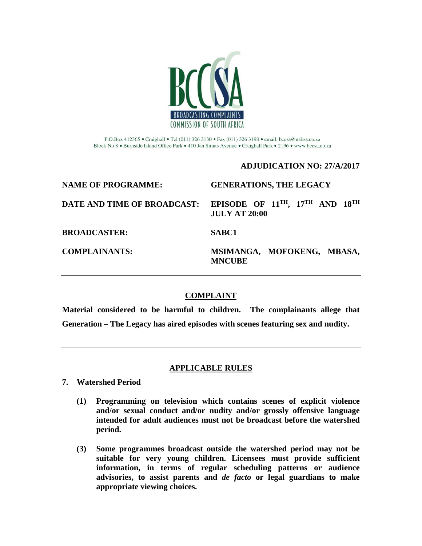

P.O.Box 412365 • Craighall • Tel (011) 326 3130 • Fax (011) 326 3198 • email: bccsa@nabsa.co.za Block No 8 • Burnside Island Office Park • 410 Jan Smuts Avenue • Craighall Park • 2196 • www.bccsa.co.za

# **ADJUDICATION NO: 27/A/2017**

| <b>NAME OF PROGRAMME:</b>   | <b>GENERATIONS, THE LEGACY</b>                                         |
|-----------------------------|------------------------------------------------------------------------|
| DATE AND TIME OF BROADCAST: | EPISODE OF $11^{TH}$ , $17^{TH}$ AND $18^{TH}$<br><b>JULY AT 20:00</b> |
| <b>BROADCASTER:</b>         | <b>SABC1</b>                                                           |
| <b>COMPLAINANTS:</b>        | MSIMANGA, MOFOKENG, MBASA,<br><b>MNCUBE</b>                            |

# **COMPLAINT**

**Material considered to be harmful to children. The complainants allege that Generation – The Legacy has aired episodes with scenes featuring sex and nudity.**

## **APPLICABLE RULES**

- **7. Watershed Period**
	- **(1) Programming on television which contains scenes of explicit violence and/or sexual conduct and/or nudity and/or grossly offensive language intended for adult audiences must not be broadcast before the watershed period.**
	- **(3) Some programmes broadcast outside the watershed period may not be suitable for very young children. Licensees must provide sufficient information, in terms of regular scheduling patterns or audience advisories, to assist parents and** *de facto* **or legal guardians to make appropriate viewing choices.**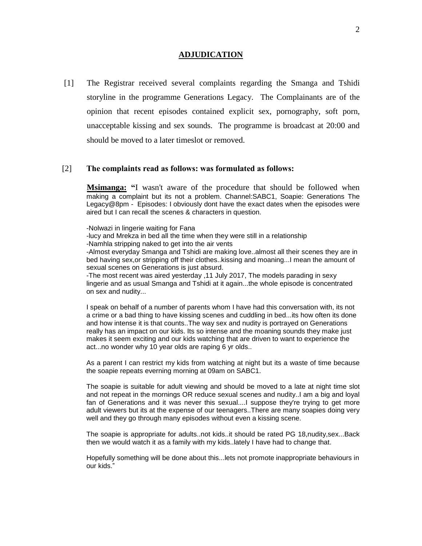## **ADJUDICATION**

[1] The Registrar received several complaints regarding the Smanga and Tshidi storyline in the programme Generations Legacy. The Complainants are of the opinion that recent episodes contained explicit sex, pornography, soft porn, unacceptable kissing and sex sounds. The programme is broadcast at 20:00 and should be moved to a later timeslot or removed.

## [2] **The complaints read as follows: was formulated as follows:**

**Msimanga: "**I wasn't aware of the procedure that should be followed when making a complaint but its not a problem. Channel:SABC1, Soapie: Generations The Legacy@8pm - Episodes: I obviously dont have the exact dates when the episodes were aired but I can recall the scenes & characters in question.

-Nolwazi in lingerie waiting for Fana

-lucy and Mrekza in bed all the time when they were still in a relationship -Namhla stripping naked to get into the air vents

-Almost everyday Smanga and Tshidi are making love..almost all their scenes they are in bed having sex,or stripping off their clothes..kissing and moaning...I mean the amount of sexual scenes on Generations is just absurd.

-The most recent was aired yesterday ,11 July 2017, The models parading in sexy lingerie and as usual Smanga and Tshidi at it again...the whole episode is concentrated on sex and nudity...

I speak on behalf of a number of parents whom I have had this conversation with, its not a crime or a bad thing to have kissing scenes and cuddling in bed...its how often its done and how intense it is that counts..The way sex and nudity is portrayed on Generations really has an impact on our kids. Its so intense and the moaning sounds they make just makes it seem exciting and our kids watching that are driven to want to experience the act...no wonder why 10 year olds are raping 6 yr olds..

As a parent I can restrict my kids from watching at night but its a waste of time because the soapie repeats everning morning at 09am on SABC1.

The soapie is suitable for adult viewing and should be moved to a late at night time slot and not repeat in the mornings OR reduce sexual scenes and nudity..I am a big and loyal fan of Generations and it was never this sexual....I suppose they're trying to get more adult viewers but its at the expense of our teenagers..There are many soapies doing very well and they go through many episodes without even a kissing scene.

The soapie is appropriate for adults..not kids..it should be rated PG 18,nudity,sex...Back then we would watch it as a family with my kids..lately I have had to change that.

Hopefully something will be done about this...lets not promote inappropriate behaviours in our kids."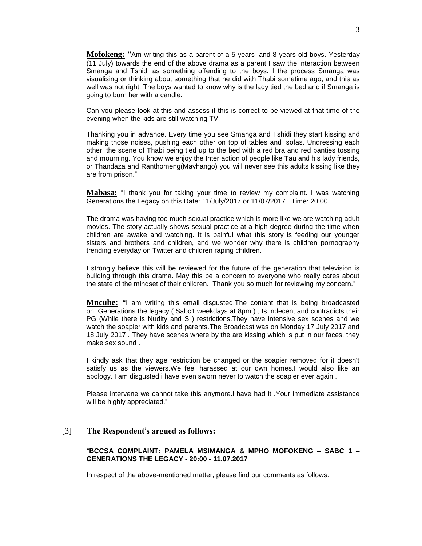**Mofokeng:** "Am writing this as a parent of a 5 years and 8 years old boys. Yesterday (11 July) towards the end of the above drama as a parent I saw the interaction between Smanga and Tshidi as something offending to the boys. I the process Smanga was visualising or thinking about something that he did with Thabi sometime ago, and this as well was not right. The boys wanted to know why is the lady tied the bed and if Smanga is going to burn her with a candle.

Can you please look at this and assess if this is correct to be viewed at that time of the evening when the kids are still watching TV.

Thanking you in advance. Every time you see Smanga and Tshidi they start kissing and making those noises, pushing each other on top of tables and sofas. Undressing each other, the scene of Thabi being tied up to the bed with a red bra and red panties tossing and mourning. You know we enjoy the Inter action of people like Tau and his lady friends, or Thandaza and Ranthomeng(Mavhango) you will never see this adults kissing like they are from prison."

**Mabasa:** "I thank you for taking your time to review my complaint. I was watching Generations the Legacy on this Date: 11/July/2017 or 11/07/2017 Time: 20:00.

The drama was having too much sexual practice which is more like we are watching adult movies. The story actually shows sexual practice at a high degree during the time when children are awake and watching. It is painful what this story is feeding our younger sisters and brothers and children, and we wonder why there is children pornography trending everyday on Twitter and children raping children.

I strongly believe this will be reviewed for the future of the generation that television is building through this drama. May this be a concern to everyone who really cares about the state of the mindset of their children. Thank you so much for reviewing my concern."

**Mncube: "**I am writing this email disgusted.The content that is being broadcasted on Generations the legacy ( Sabc1 weekdays at 8pm ) , Is indecent and contradicts their PG (While there is Nudity and S ) restrictions.They have intensive sex scenes and we watch the soapier with kids and parents.The Broadcast was on Monday 17 July 2017 and 18 July 2017 . They have scenes where by the are kissing which is put in our faces, they make sex sound .

I kindly ask that they age restriction be changed or the soapier removed for it doesn't satisfy us as the viewers.We feel harassed at our own homes.I would also like an apology. I am disgusted i have even sworn never to watch the soapier ever again .

Please intervene we cannot take this anymore.I have had it .Your immediate assistance will be highly appreciated."

#### [3] **The Respondent**'**s argued as follows:**

#### "**BCCSA COMPLAINT: PAMELA MSIMANGA & MPHO MOFOKENG – SABC 1 – GENERATIONS THE LEGACY - 20:00 - 11.07.2017**

In respect of the above-mentioned matter, please find our comments as follows: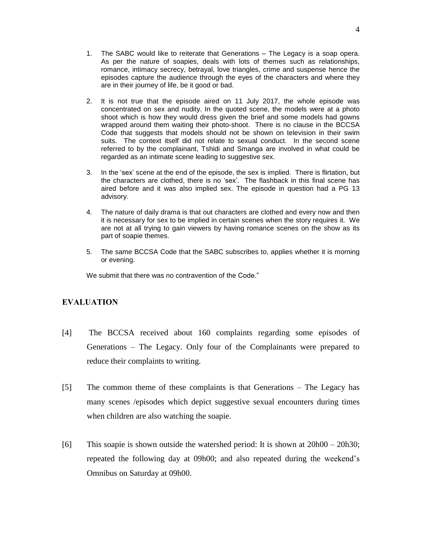- 1. The SABC would like to reiterate that Generations The Legacy is a soap opera. As per the nature of soapies, deals with lots of themes such as relationships, romance, intimacy secrecy, betrayal, love triangles, crime and suspense hence the episodes capture the audience through the eyes of the characters and where they are in their journey of life, be it good or bad.
- 2. It is not true that the episode aired on 11 July 2017, the whole episode was concentrated on sex and nudity. In the quoted scene, the models were at a photo shoot which is how they would dress given the brief and some models had gowns wrapped around them waiting their photo-shoot. There is no clause in the BCCSA Code that suggests that models should not be shown on television in their swim suits. The context itself did not relate to sexual conduct. In the second scene referred to by the complainant, Tshidi and Smanga are involved in what could be regarded as an intimate scene leading to suggestive sex.
- 3. In the 'sex' scene at the end of the episode, the sex is implied. There is flirtation, but the characters are clothed, there is no 'sex'. The flashback in this final scene has aired before and it was also implied sex. The episode in question had a PG 13 advisory.
- 4. The nature of daily drama is that out characters are clothed and every now and then it is necessary for sex to be implied in certain scenes when the story requires it. We are not at all trying to gain viewers by having romance scenes on the show as its part of soapie themes.
- 5. The same BCCSA Code that the SABC subscribes to, applies whether it is morning or evening.

We submit that there was no contravention of the Code."

## **EVALUATION**

- [4] The BCCSA received about 160 complaints regarding some episodes of Generations – The Legacy. Only four of the Complainants were prepared to reduce their complaints to writing.
- [5] The common theme of these complaints is that Generations The Legacy has many scenes /episodes which depict suggestive sexual encounters during times when children are also watching the soapie.
- [6] This soapie is shown outside the watershed period: It is shown at 20h00 20h30; repeated the following day at 09h00; and also repeated during the weekend's Omnibus on Saturday at 09h00.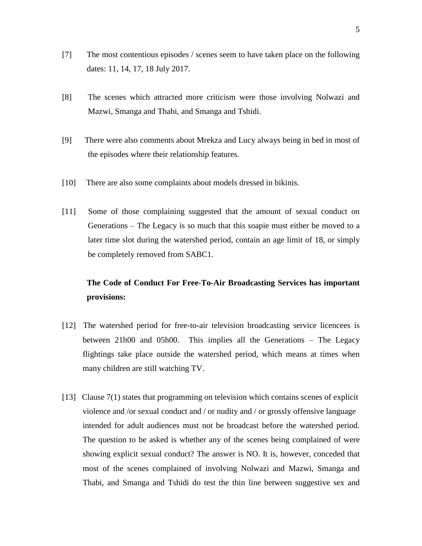- [7] The most contentious episodes / scenes seem to have taken place on the following dates: 11, 14, 17, 18 July 2017.
- [8] The scenes which attracted more criticism were those involving Nolwazi and Mazwi, Smanga and Thabi, and Smanga and Tshidi.
- [9] There were also comments about Mrekza and Lucy always being in bed in most of the episodes where their relationship features.
- [10] There are also some complaints about models dressed in bikinis.
- [11] Some of those complaining suggested that the amount of sexual conduct on Generations – The Legacy is so much that this soapie must either be moved to a later time slot during the watershed period, contain an age limit of 18, or simply be completely removed from SABC1.

# **The Code of Conduct For Free-To-Air Broadcasting Services has important provisions:**

- [12] The watershed period for free-to-air television broadcasting service licencees is between 21h00 and 05h00. This implies all the Generations – The Legacy flightings take place outside the watershed period, which means at times when many children are still watching TV.
- [13] Clause 7(1) states that programming on television which contains scenes of explicit violence and /or sexual conduct and / or nudity and / or grossly offensive language intended for adult audiences must not be broadcast before the watershed period. The question to be asked is whether any of the scenes being complained of were showing explicit sexual conduct? The answer is NO. It is, however, conceded that most of the scenes complained of involving Nolwazi and Mazwi, Smanga and Thabi, and Smanga and Tshidi do test the thin line between suggestive sex and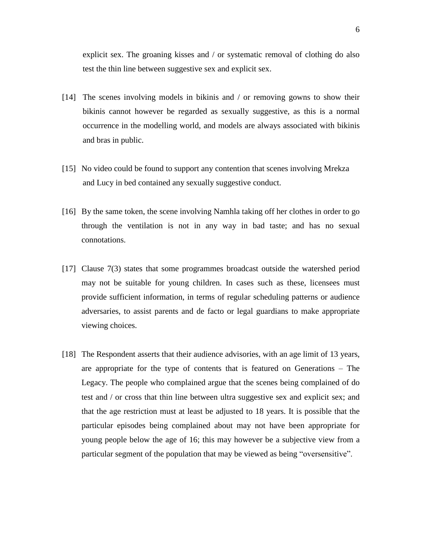explicit sex. The groaning kisses and / or systematic removal of clothing do also test the thin line between suggestive sex and explicit sex.

- [14] The scenes involving models in bikinis and / or removing gowns to show their bikinis cannot however be regarded as sexually suggestive, as this is a normal occurrence in the modelling world, and models are always associated with bikinis and bras in public.
- [15] No video could be found to support any contention that scenes involving Mrekza and Lucy in bed contained any sexually suggestive conduct.
- [16] By the same token, the scene involving Namhla taking off her clothes in order to go through the ventilation is not in any way in bad taste; and has no sexual connotations.
- [17] Clause 7(3) states that some programmes broadcast outside the watershed period may not be suitable for young children. In cases such as these, licensees must provide sufficient information, in terms of regular scheduling patterns or audience adversaries, to assist parents and de facto or legal guardians to make appropriate viewing choices.
- [18] The Respondent asserts that their audience advisories, with an age limit of 13 years, are appropriate for the type of contents that is featured on Generations – The Legacy. The people who complained argue that the scenes being complained of do test and / or cross that thin line between ultra suggestive sex and explicit sex; and that the age restriction must at least be adjusted to 18 years. It is possible that the particular episodes being complained about may not have been appropriate for young people below the age of 16; this may however be a subjective view from a particular segment of the population that may be viewed as being "oversensitive".